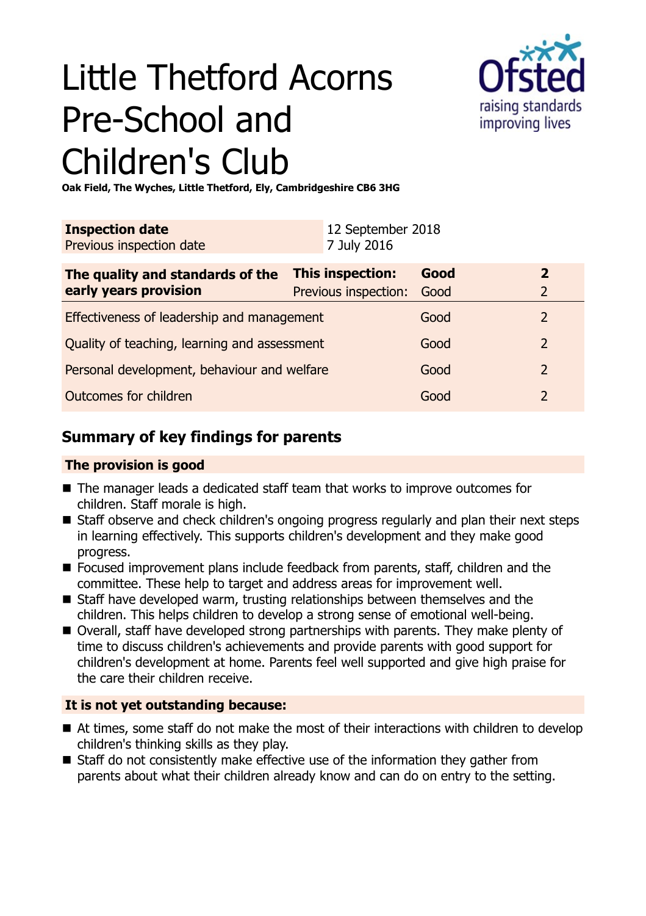# Little Thetford Acorns Pre-School and Children's Club



**Oak Field, The Wyches, Little Thetford, Ely, Cambridgeshire CB6 3HG**

| <b>Inspection date</b><br>Previous inspection date        | 12 September 2018<br>7 July 2016         |              |                                |
|-----------------------------------------------------------|------------------------------------------|--------------|--------------------------------|
| The quality and standards of the<br>early years provision | This inspection:<br>Previous inspection: | Good<br>Good | $\mathbf{2}$<br>$\overline{2}$ |
| Effectiveness of leadership and management                |                                          | Good         | 2                              |
| Quality of teaching, learning and assessment              |                                          | Good         | $\overline{2}$                 |
| Personal development, behaviour and welfare               |                                          | Good         | $\overline{2}$                 |
| Outcomes for children                                     |                                          | Good         | 2                              |

# **Summary of key findings for parents**

### **The provision is good**

- The manager leads a dedicated staff team that works to improve outcomes for children. Staff morale is high.
- Staff observe and check children's ongoing progress regularly and plan their next steps in learning effectively. This supports children's development and they make good progress.
- Focused improvement plans include feedback from parents, staff, children and the committee. These help to target and address areas for improvement well.
- $\blacksquare$  Staff have developed warm, trusting relationships between themselves and the children. This helps children to develop a strong sense of emotional well-being.
- Overall, staff have developed strong partnerships with parents. They make plenty of time to discuss children's achievements and provide parents with good support for children's development at home. Parents feel well supported and give high praise for the care their children receive.

## **It is not yet outstanding because:**

- At times, some staff do not make the most of their interactions with children to develop children's thinking skills as they play.
- $\blacksquare$  Staff do not consistently make effective use of the information they gather from parents about what their children already know and can do on entry to the setting.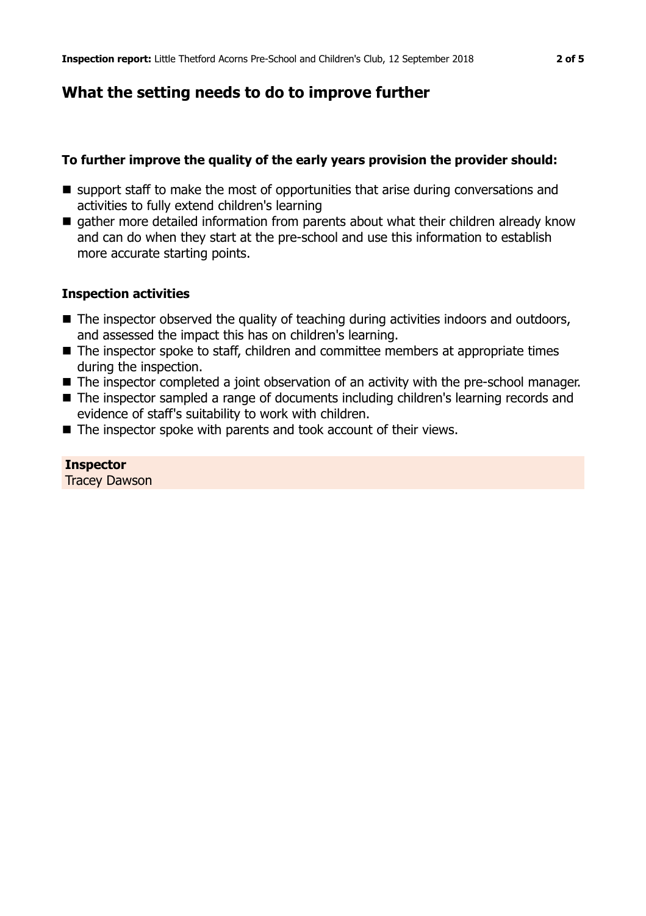# **What the setting needs to do to improve further**

#### **To further improve the quality of the early years provision the provider should:**

- $\blacksquare$  support staff to make the most of opportunities that arise during conversations and activities to fully extend children's learning
- gather more detailed information from parents about what their children already know and can do when they start at the pre-school and use this information to establish more accurate starting points.

#### **Inspection activities**

- The inspector observed the quality of teaching during activities indoors and outdoors, and assessed the impact this has on children's learning.
- The inspector spoke to staff, children and committee members at appropriate times during the inspection.
- The inspector completed a joint observation of an activity with the pre-school manager.
- The inspector sampled a range of documents including children's learning records and evidence of staff's suitability to work with children.
- $\blacksquare$  The inspector spoke with parents and took account of their views.

#### **Inspector**

Tracey Dawson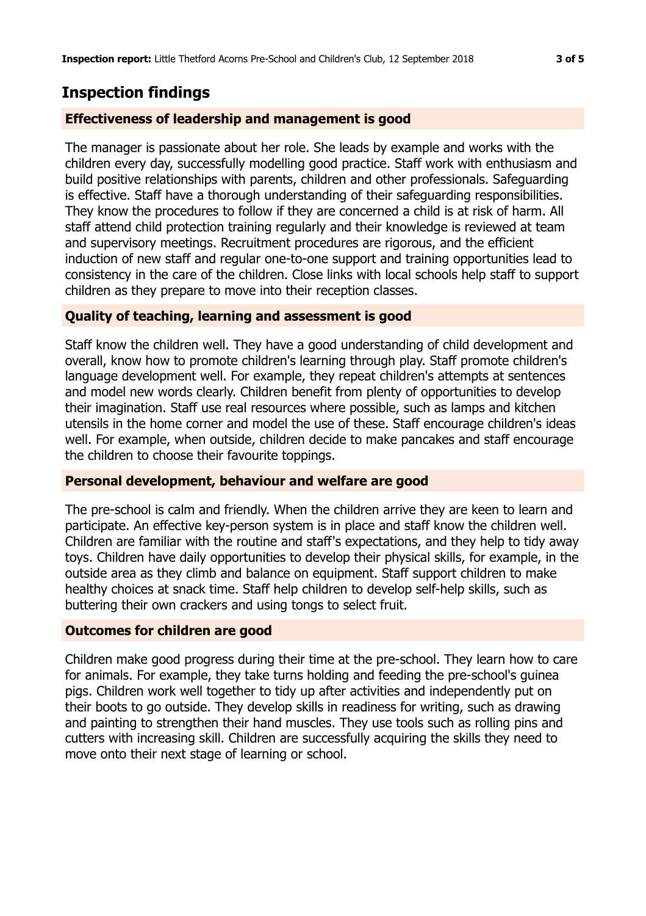# **Inspection findings**

#### **Effectiveness of leadership and management is good**

The manager is passionate about her role. She leads by example and works with the children every day, successfully modelling good practice. Staff work with enthusiasm and build positive relationships with parents, children and other professionals. Safeguarding is effective. Staff have a thorough understanding of their safeguarding responsibilities. They know the procedures to follow if they are concerned a child is at risk of harm. All staff attend child protection training regularly and their knowledge is reviewed at team and supervisory meetings. Recruitment procedures are rigorous, and the efficient induction of new staff and regular one-to-one support and training opportunities lead to consistency in the care of the children. Close links with local schools help staff to support children as they prepare to move into their reception classes.

#### **Quality of teaching, learning and assessment is good**

Staff know the children well. They have a good understanding of child development and overall, know how to promote children's learning through play. Staff promote children's language development well. For example, they repeat children's attempts at sentences and model new words clearly. Children benefit from plenty of opportunities to develop their imagination. Staff use real resources where possible, such as lamps and kitchen utensils in the home corner and model the use of these. Staff encourage children's ideas well. For example, when outside, children decide to make pancakes and staff encourage the children to choose their favourite toppings.

#### **Personal development, behaviour and welfare are good**

The pre-school is calm and friendly. When the children arrive they are keen to learn and participate. An effective key-person system is in place and staff know the children well. Children are familiar with the routine and staff's expectations, and they help to tidy away toys. Children have daily opportunities to develop their physical skills, for example, in the outside area as they climb and balance on equipment. Staff support children to make healthy choices at snack time. Staff help children to develop self-help skills, such as buttering their own crackers and using tongs to select fruit.

#### **Outcomes for children are good**

Children make good progress during their time at the pre-school. They learn how to care for animals. For example, they take turns holding and feeding the pre-school's guinea pigs. Children work well together to tidy up after activities and independently put on their boots to go outside. They develop skills in readiness for writing, such as drawing and painting to strengthen their hand muscles. They use tools such as rolling pins and cutters with increasing skill. Children are successfully acquiring the skills they need to move onto their next stage of learning or school.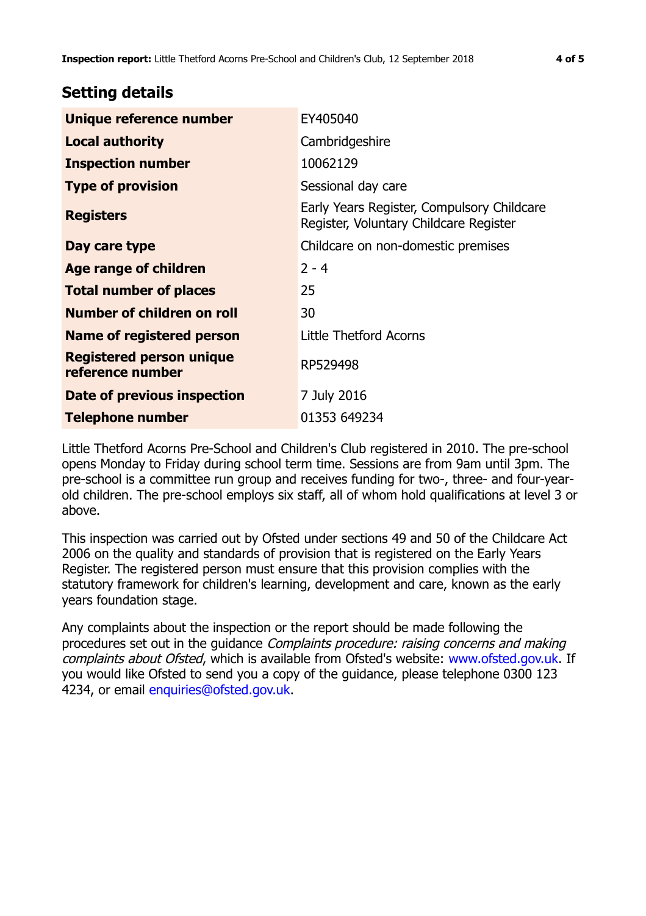## **Setting details**

| Unique reference number                             | EY405040                                                                             |
|-----------------------------------------------------|--------------------------------------------------------------------------------------|
| <b>Local authority</b>                              | Cambridgeshire                                                                       |
| <b>Inspection number</b>                            | 10062129                                                                             |
| <b>Type of provision</b>                            | Sessional day care                                                                   |
| <b>Registers</b>                                    | Early Years Register, Compulsory Childcare<br>Register, Voluntary Childcare Register |
| Day care type                                       | Childcare on non-domestic premises                                                   |
| Age range of children                               | $2 - 4$                                                                              |
| <b>Total number of places</b>                       | 25                                                                                   |
| Number of children on roll                          | 30                                                                                   |
| Name of registered person                           | Little Thetford Acorns                                                               |
| <b>Registered person unique</b><br>reference number | RP529498                                                                             |
| Date of previous inspection                         | 7 July 2016                                                                          |
| Telephone number                                    | 01353 649234                                                                         |

Little Thetford Acorns Pre-School and Children's Club registered in 2010. The pre-school opens Monday to Friday during school term time. Sessions are from 9am until 3pm. The pre-school is a committee run group and receives funding for two-, three- and four-yearold children. The pre-school employs six staff, all of whom hold qualifications at level 3 or above.

This inspection was carried out by Ofsted under sections 49 and 50 of the Childcare Act 2006 on the quality and standards of provision that is registered on the Early Years Register. The registered person must ensure that this provision complies with the statutory framework for children's learning, development and care, known as the early years foundation stage.

Any complaints about the inspection or the report should be made following the procedures set out in the guidance Complaints procedure: raising concerns and making complaints about Ofsted, which is available from Ofsted's website: www.ofsted.gov.uk. If you would like Ofsted to send you a copy of the guidance, please telephone 0300 123 4234, or email [enquiries@ofsted.gov.uk.](mailto:enquiries@ofsted.gov.uk)